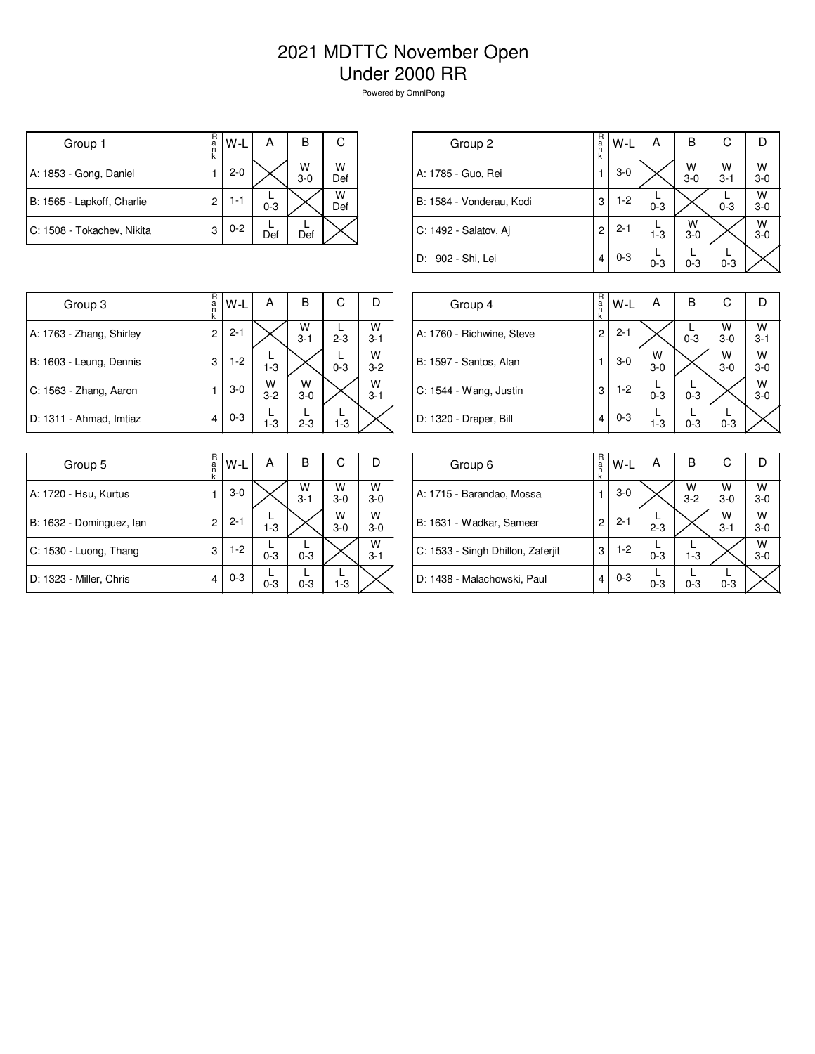## 2021 MDTTC November Open Under 2000 RR

Powered by OmniPong

| Group 1                    | R<br>a<br>n | W-L     | А       | в          | С        |
|----------------------------|-------------|---------|---------|------------|----------|
| A: 1853 - Gong, Daniel     |             | $2 - 0$ |         | W<br>$3-0$ | W<br>Def |
| B: 1565 - Lapkoff, Charlie | 2           | 1-1     | $0 - 3$ |            | W<br>Def |
| C: 1508 - Tokachev, Nikita | 3           | $0 - 2$ | Def     | Def        |          |

| Group 2                  | R<br>$\frac{a}{n}$<br>k | $W-L$   | А       | в            | С            |              |
|--------------------------|-------------------------|---------|---------|--------------|--------------|--------------|
| A: 1785 - Guo, Rei       |                         | $3-0$   |         | W<br>$3 - 0$ | W<br>$3 - 1$ | w<br>$3 - 0$ |
| B: 1584 - Vonderau, Kodi | 3                       | $1-2$   | $0 - 3$ |              | $0 - 3$      | W<br>$3-0$   |
| C: 1492 - Salatov, Ai    | 2                       | $2 - 1$ | $1 - 3$ | W<br>$3-0$   |              | W<br>$3 - 0$ |
| D: 902 - Shi, Lei        | 4                       | $0 - 3$ | $0 - 3$ | $0 - 3$      | $0 - 3$      |              |
|                          |                         |         |         |              |              |              |

| Group 3                  | R<br>a<br>n<br>k | W-L     | А            | в            | С       |              |
|--------------------------|------------------|---------|--------------|--------------|---------|--------------|
| A: 1763 - Zhang, Shirley | 2                | $2 - 1$ |              | W<br>$3 - 1$ | $2 - 3$ | W<br>$3-1$   |
| B: 1603 - Leung, Dennis  | 3                | $1-2$   | $1 - 3$      |              | $0 - 3$ | W<br>$3 - 2$ |
| C: 1563 - Zhang, Aaron   |                  | $3-0$   | W<br>$3 - 2$ | W<br>$3-0$   |         | W<br>$3 - 1$ |
| D: 1311 - Ahmad, Imtiaz  | 4                | $0 - 3$ | $1 - 3$      | $2 - 3$      | $1 - 3$ |              |

| Group 4                   | R<br>a<br>k | W-L     | A            | в       | С            | D            |
|---------------------------|-------------|---------|--------------|---------|--------------|--------------|
| A: 1760 - Richwine, Steve | 2           | $2 - 1$ |              | $0 - 3$ | W<br>$3-0$   | W<br>$3 - 1$ |
| B: 1597 - Santos, Alan    |             | $3 - 0$ | W<br>$3 - 0$ |         | W<br>$3 - 0$ | W<br>$3-0$   |
| C: 1544 - Wang, Justin    | 3           | $1-2$   | $0 - 3$      | $0 - 3$ |              | W<br>$3 - 0$ |
| D: 1320 - Draper, Bill    | 4           | $0 - 3$ | $1 - 3$      | $0 - 3$ | $0 - 3$      |              |

| Group 5                  | R<br>a<br>k | W-L     | А       | в            | С          | D            |
|--------------------------|-------------|---------|---------|--------------|------------|--------------|
| A: 1720 - Hsu, Kurtus    | 1           | $3-0$   |         | W<br>$3 - 1$ | W<br>$3-0$ | W<br>$3-0$   |
| B: 1632 - Dominguez, Ian | 2           | $2 - 1$ | $1 - 3$ |              | W<br>$3-0$ | W<br>$3-0$   |
| C: 1530 - Luong, Thang   | 3           | $1-2$   | $0 - 3$ | $0 - 3$      |            | W<br>$3 - 1$ |
| D: 1323 - Miller, Chris  | 4           | $0 - 3$ | $0 - 3$ | $0 - 3$      | $1 - 3$    |              |

| Group 6                           | R<br>$\frac{a}{n}$<br>k | W-L     | А       | в            | С            |              |
|-----------------------------------|-------------------------|---------|---------|--------------|--------------|--------------|
| A: 1715 - Barandao, Mossa         |                         | $3-0$   |         | W<br>$3 - 2$ | W<br>$3-0$   | W<br>$3 - 0$ |
| B: 1631 - Wadkar, Sameer          | 2                       | $2 - 1$ | $2 - 3$ |              | W<br>$3 - 1$ | W<br>$3 - 0$ |
| C: 1533 - Singh Dhillon, Zaferjit | 3                       | $1-2$   | $0 - 3$ | $1 - 3$      |              | W<br>$3 - 0$ |
| D: 1438 - Malachowski, Paul       | 4                       | $0 - 3$ | $0 - 3$ | $0 - 3$      | $0 - 3$      |              |